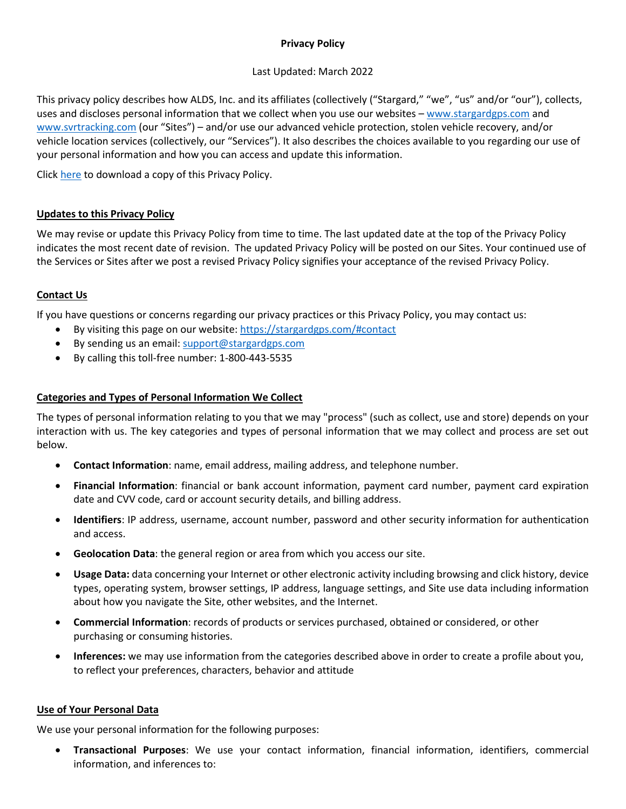# **Privacy Policy**

## Last Updated: March 2022

This privacy policy describes how ALDS, Inc. and its affiliates (collectively ("Stargard," "we", "us" and/or "our"), collects, uses and discloses personal information that we collect when you use our websites – [www.stargardgps.com](http://www.stargardgps.com/) and [www.svrtracking.com](http://www.svrtracking.com/) (our "Sites") – and/or use our advanced vehicle protection, stolen vehicle recovery, and/or vehicle location services (collectively, our "Services"). It also describes the choices available to you regarding our use of your personal information and how you can access and update this information.

Click [here](https://stargardgps.com/wp-content/uploads/2022/03/privacy-policy-stargard_2022-03-25.pdf) to download a copy of this Privacy Policy.

## **Updates to this Privacy Policy**

We may revise or update this Privacy Policy from time to time. The last updated date at the top of the Privacy Policy indicates the most recent date of revision. The updated Privacy Policy will be posted on our Sites. Your continued use of the Services or Sites after we post a revised Privacy Policy signifies your acceptance of the revised Privacy Policy.

## **Contact Us**

If you have questions or concerns regarding our privacy practices or this Privacy Policy, you may contact us:

- By visiting this page on our website:<https://stargardgps.com/#contact>
- By sending us an email: [support@stargardgps.com](mailto:support@stargardgps.com)
- By calling this toll-free number: 1-800-443-5535

## **Categories and Types of Personal Information We Collect**

The types of personal information relating to you that we may "process" (such as collect, use and store) depends on your interaction with us. The key categories and types of personal information that we may collect and process are set out below.

- **Contact Information**: name, email address, mailing address, and telephone number.
- **Financial Information**: financial or bank account information, payment card number, payment card expiration date and CVV code, card or account security details, and billing address.
- **Identifiers**: IP address, username, account number, password and other security information for authentication and access.
- **Geolocation Data**: the general region or area from which you access our site.
- **Usage Data:** data concerning your Internet or other electronic activity including browsing and click history, device types, operating system, browser settings, IP address, language settings, and Site use data including information about how you navigate the Site, other websites, and the Internet.
- **Commercial Information**: records of products or services purchased, obtained or considered, or other purchasing or consuming histories.
- **Inferences:** we may use information from the categories described above in order to create a profile about you, to reflect your preferences, characters, behavior and attitude

#### **Use of Your Personal Data**

We use your personal information for the following purposes:

• **Transactional Purposes**: We use your contact information, financial information, identifiers, commercial information, and inferences to: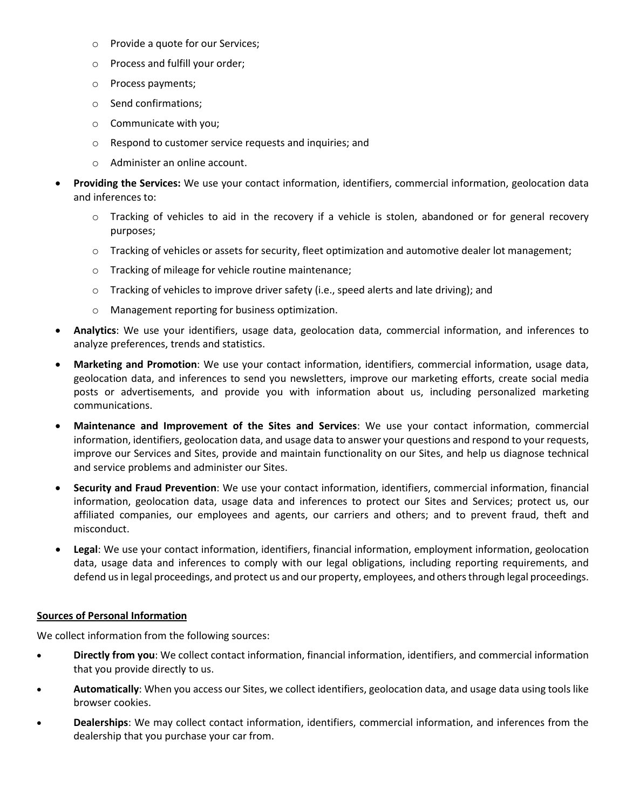- o Provide a quote for our Services;
- o Process and fulfill your order;
- o Process payments;
- o Send confirmations;
- o Communicate with you;
- o Respond to customer service requests and inquiries; and
- o Administer an online account.
- **Providing the Services:** We use your contact information, identifiers, commercial information, geolocation data and inferences to:
	- o Tracking of vehicles to aid in the recovery if a vehicle is stolen, abandoned or for general recovery purposes;
	- o Tracking of vehicles or assets for security, fleet optimization and automotive dealer lot management;
	- o Tracking of mileage for vehicle routine maintenance;
	- $\circ$  Tracking of vehicles to improve driver safety (i.e., speed alerts and late driving); and
	- o Management reporting for business optimization.
- **Analytics**: We use your identifiers, usage data, geolocation data, commercial information, and inferences to analyze preferences, trends and statistics.
- **Marketing and Promotion**: We use your contact information, identifiers, commercial information, usage data, geolocation data, and inferences to send you newsletters, improve our marketing efforts, create social media posts or advertisements, and provide you with information about us, including personalized marketing communications.
- **Maintenance and Improvement of the Sites and Services**: We use your contact information, commercial information, identifiers, geolocation data, and usage data to answer your questions and respond to your requests, improve our Services and Sites, provide and maintain functionality on our Sites, and help us diagnose technical and service problems and administer our Sites.
- **Security and Fraud Prevention**: We use your contact information, identifiers, commercial information, financial information, geolocation data, usage data and inferences to protect our Sites and Services; protect us, our affiliated companies, our employees and agents, our carriers and others; and to prevent fraud, theft and misconduct.
- **Legal**: We use your contact information, identifiers, financial information, employment information, geolocation data, usage data and inferences to comply with our legal obligations, including reporting requirements, and defend us in legal proceedings, and protect us and our property, employees, and others through legal proceedings.

#### **Sources of Personal Information**

We collect information from the following sources:

- **Directly from you**: We collect contact information, financial information, identifiers, and commercial information that you provide directly to us.
- **Automatically**: When you access our Sites, we collect identifiers, geolocation data, and usage data using tools like browser cookies.
- **Dealerships**: We may collect contact information, identifiers, commercial information, and inferences from the dealership that you purchase your car from.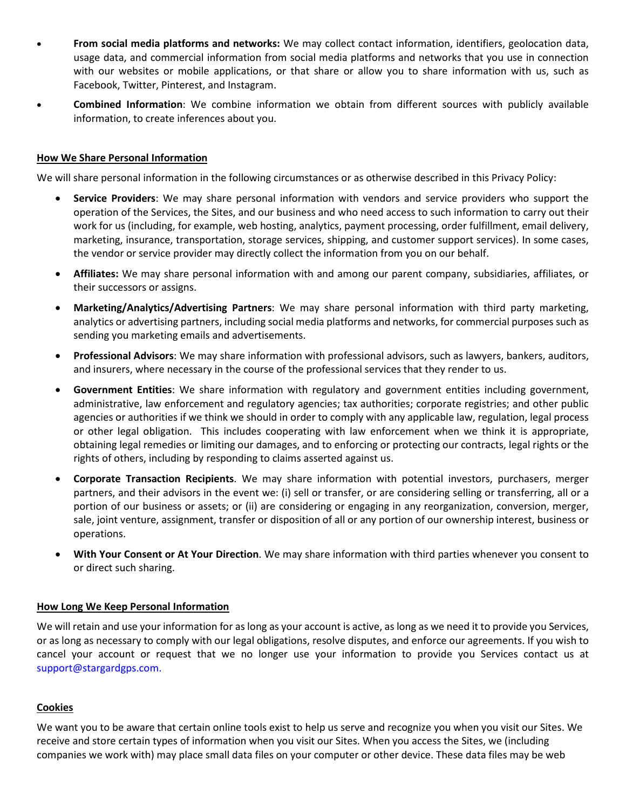- **From social media platforms and networks:** We may collect contact information, identifiers, geolocation data, usage data, and commercial information from social media platforms and networks that you use in connection with our websites or mobile applications, or that share or allow you to share information with us, such as Facebook, Twitter, Pinterest, and Instagram.
- **Combined Information**: We combine information we obtain from different sources with publicly available information, to create inferences about you.

#### **How We Share Personal Information**

We will share personal information in the following circumstances or as otherwise described in this Privacy Policy:

- **Service Providers**: We may share personal information with vendors and service providers who support the operation of the Services, the Sites, and our business and who need access to such information to carry out their work for us (including, for example, web hosting, analytics, payment processing, order fulfillment, email delivery, marketing, insurance, transportation, storage services, shipping, and customer support services). In some cases, the vendor or service provider may directly collect the information from you on our behalf.
- **Affiliates:** We may share personal information with and among our parent company, subsidiaries, affiliates, or their successors or assigns.
- **Marketing/Analytics/Advertising Partners**: We may share personal information with third party marketing, analytics or advertising partners, including social media platforms and networks, for commercial purposes such as sending you marketing emails and advertisements.
- **Professional Advisors**: We may share information with professional advisors, such as lawyers, bankers, auditors, and insurers, where necessary in the course of the professional services that they render to us.
- **Government Entities**: We share information with regulatory and government entities including government, administrative, law enforcement and regulatory agencies; tax authorities; corporate registries; and other public agencies or authorities if we think we should in order to comply with any applicable law, regulation, legal process or other legal obligation. This includes cooperating with law enforcement when we think it is appropriate, obtaining legal remedies or limiting our damages, and to enforcing or protecting our contracts, legal rights or the rights of others, including by responding to claims asserted against us.
- **Corporate Transaction Recipients**. We may share information with potential investors, purchasers, merger partners, and their advisors in the event we: (i) sell or transfer, or are considering selling or transferring, all or a portion of our business or assets; or (ii) are considering or engaging in any reorganization, conversion, merger, sale, joint venture, assignment, transfer or disposition of all or any portion of our ownership interest, business or operations.
- **With Your Consent or At Your Direction**. We may share information with third parties whenever you consent to or direct such sharing.

#### **How Long We Keep Personal Information**

We will retain and use your information for as long as your account is active, as long as we need it to provide you Services, or as long as necessary to comply with our legal obligations, resolve disputes, and enforce our agreements. If you wish to cancel your account or request that we no longer use your information to provide you Services contact us at support@stargardgps.com.

#### **Cookies**

We want you to be aware that certain online tools exist to help us serve and recognize you when you visit our Sites. We receive and store certain types of information when you visit our Sites. When you access the Sites, we (including companies we work with) may place small data files on your computer or other device. These data files may be web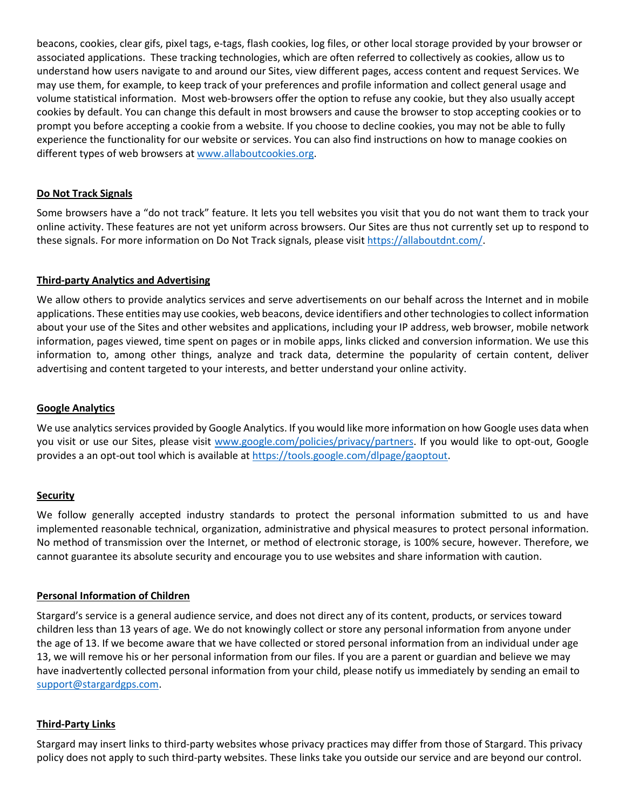beacons, cookies, clear gifs, pixel tags, e-tags, flash cookies, log files, or other local storage provided by your browser or associated applications. These tracking technologies, which are often referred to collectively as cookies, allow us to understand how users navigate to and around our Sites, view different pages, access content and request Services. We may use them, for example, to keep track of your preferences and profile information and collect general usage and volume statistical information. Most web-browsers offer the option to refuse any cookie, but they also usually accept cookies by default. You can change this default in most browsers and cause the browser to stop accepting cookies or to prompt you before accepting a cookie from a website. If you choose to decline cookies, you may not be able to fully experience the functionality for our website or services. You can also find instructions on how to manage cookies on different types of web browsers at [www.allaboutcookies.org.](http://www.allaboutcookies.org/)

### **Do Not Track Signals**

Some browsers have a "do not track" feature. It lets you tell websites you visit that you do not want them to track your online activity. These features are not yet uniform across browsers. Our Sites are thus not currently set up to respond to these signals. For more information on Do Not Track signals, please visit [https://allaboutdnt.com/.](https://allaboutdnt.com/)

#### **Third-party Analytics and Advertising**

We allow others to provide analytics services and serve advertisements on our behalf across the Internet and in mobile applications. These entities may use cookies, web beacons, device identifiers and other technologies to collect information about your use of the Sites and other websites and applications, including your IP address, web browser, mobile network information, pages viewed, time spent on pages or in mobile apps, links clicked and conversion information. We use this information to, among other things, analyze and track data, determine the popularity of certain content, deliver advertising and content targeted to your interests, and better understand your online activity.

### **Google Analytics**

We use analytics services provided by Google Analytics. If you would like more information on how Google uses data when you visit or use our Sites, please visit [www.google.com/policies/privacy/partners.](http://www.google.com/policies/privacy/partners) If you would like to opt-out, Google provides a an opt-out tool which is available at [https://tools.google.com/dlpage/gaoptout.](https://tools.google.com/dlpage/gaoptout)

#### **Security**

We follow generally accepted industry standards to protect the personal information submitted to us and have implemented reasonable technical, organization, administrative and physical measures to protect personal information. No method of transmission over the Internet, or method of electronic storage, is 100% secure, however. Therefore, we cannot guarantee its absolute security and encourage you to use websites and share information with caution.

#### **Personal Information of Children**

Stargard's service is a general audience service, and does not direct any of its content, products, or services toward children less than 13 years of age. We do not knowingly collect or store any personal information from anyone under the age of 13. If we become aware that we have collected or stored personal information from an individual under age 13, we will remove his or her personal information from our files. If you are a parent or guardian and believe we may have inadvertently collected personal information from your child, please notify us immediately by sending an email to [support@stargardgps.com.](mailto:support@stargardgps.com)

#### **Third-Party Links**

Stargard may insert links to third-party websites whose privacy practices may differ from those of Stargard. This privacy policy does not apply to such third-party websites. These links take you outside our service and are beyond our control.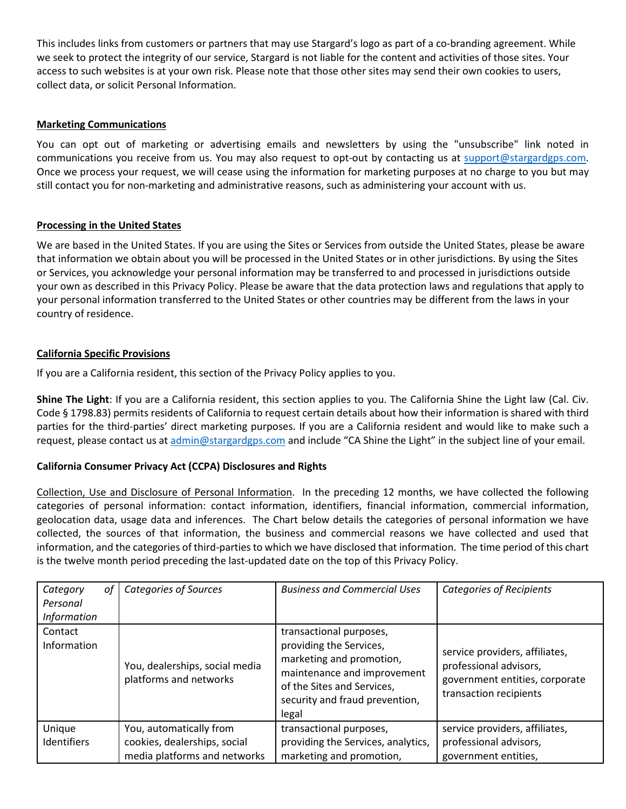This includes links from customers or partners that may use Stargard's logo as part of a co-branding agreement. While we seek to protect the integrity of our service, Stargard is not liable for the content and activities of those sites. Your access to such websites is at your own risk. Please note that those other sites may send their own cookies to users, collect data, or solicit Personal Information.

# **Marketing Communications**

You can opt out of marketing or advertising emails and newsletters by using the "unsubscribe" link noted in communications you receive from us. You may also request to opt-out by contacting us at [support@stargardgps.com.](mailto:support@stargardgps.com) Once we process your request, we will cease using the information for marketing purposes at no charge to you but may still contact you for non-marketing and administrative reasons, such as administering your account with us.

## **Processing in the United States**

We are based in the United States. If you are using the Sites or Services from outside the United States, please be aware that information we obtain about you will be processed in the United States or in other jurisdictions. By using the Sites or Services, you acknowledge your personal information may be transferred to and processed in jurisdictions outside your own as described in this Privacy Policy. Please be aware that the data protection laws and regulations that apply to your personal information transferred to the United States or other countries may be different from the laws in your country of residence.

## **California Specific Provisions**

If you are a California resident, this section of the Privacy Policy applies to you.

**Shine The Light**: If you are a California resident, this section applies to you. The California Shine the Light law (Cal. Civ. Code § 1798.83) permits residents of California to request certain details about how their information is shared with third parties for the third-parties' direct marketing purposes. If you are a California resident and would like to make such a request, please contact us at [admin@stargardgps.com](mailto:admin@stargardgps.com) and include "CA Shine the Light" in the subject line of your email.

# **California Consumer Privacy Act (CCPA) Disclosures and Rights**

Collection, Use and Disclosure of Personal Information. In the preceding 12 months, we have collected the following categories of personal information: contact information, identifiers, financial information, commercial information, geolocation data, usage data and inferences. The Chart below details the categories of personal information we have collected, the sources of that information, the business and commercial reasons we have collected and used that information, and the categories of third-parties to which we have disclosed that information. The time period of this chart is the twelve month period preceding the last-updated date on the top of this Privacy Policy.

| Category<br>0f<br>Personal<br><b>Information</b> | <b>Categories of Sources</b>                                                            | <b>Business and Commercial Uses</b>                                                                                                                                                    | <b>Categories of Recipients</b>                                                                                      |
|--------------------------------------------------|-----------------------------------------------------------------------------------------|----------------------------------------------------------------------------------------------------------------------------------------------------------------------------------------|----------------------------------------------------------------------------------------------------------------------|
| Contact<br>Information                           | You, dealerships, social media<br>platforms and networks                                | transactional purposes,<br>providing the Services,<br>marketing and promotion,<br>maintenance and improvement<br>of the Sites and Services,<br>security and fraud prevention,<br>legal | service providers, affiliates,<br>professional advisors,<br>government entities, corporate<br>transaction recipients |
| Unique<br><b>Identifiers</b>                     | You, automatically from<br>cookies, dealerships, social<br>media platforms and networks | transactional purposes,<br>providing the Services, analytics,<br>marketing and promotion,                                                                                              | service providers, affiliates,<br>professional advisors,<br>government entities,                                     |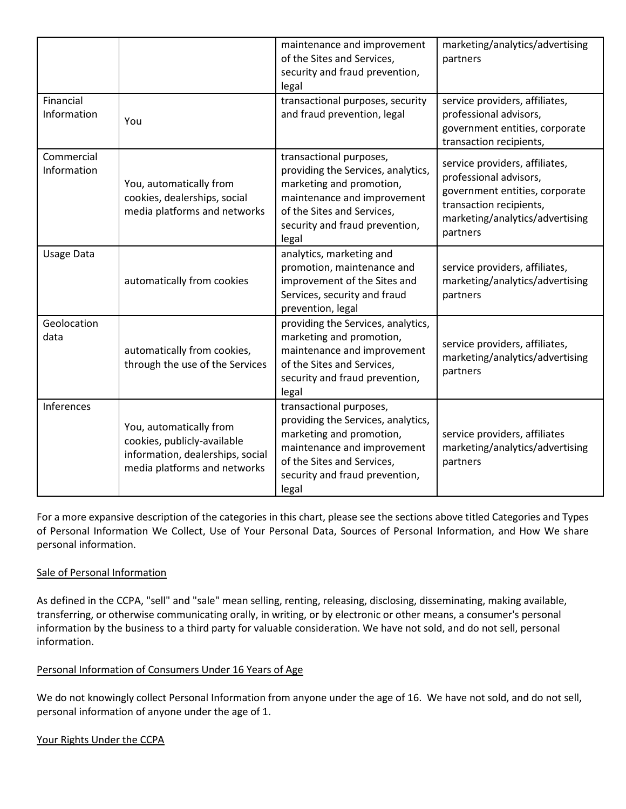|                           |                                                                                                                            | maintenance and improvement<br>of the Sites and Services,<br>security and fraud prevention,<br>legal                                                                                              | marketing/analytics/advertising<br>partners                                                                                                                          |
|---------------------------|----------------------------------------------------------------------------------------------------------------------------|---------------------------------------------------------------------------------------------------------------------------------------------------------------------------------------------------|----------------------------------------------------------------------------------------------------------------------------------------------------------------------|
| Financial<br>Information  | You                                                                                                                        | transactional purposes, security<br>and fraud prevention, legal                                                                                                                                   | service providers, affiliates,<br>professional advisors,<br>government entities, corporate<br>transaction recipients,                                                |
| Commercial<br>Information | You, automatically from<br>cookies, dealerships, social<br>media platforms and networks                                    | transactional purposes,<br>providing the Services, analytics,<br>marketing and promotion,<br>maintenance and improvement<br>of the Sites and Services,<br>security and fraud prevention,<br>legal | service providers, affiliates,<br>professional advisors,<br>government entities, corporate<br>transaction recipients,<br>marketing/analytics/advertising<br>partners |
| Usage Data                | automatically from cookies                                                                                                 | analytics, marketing and<br>promotion, maintenance and<br>improvement of the Sites and<br>Services, security and fraud<br>prevention, legal                                                       | service providers, affiliates,<br>marketing/analytics/advertising<br>partners                                                                                        |
| Geolocation<br>data       | automatically from cookies,<br>through the use of the Services                                                             | providing the Services, analytics,<br>marketing and promotion,<br>maintenance and improvement<br>of the Sites and Services,<br>security and fraud prevention,<br>legal                            | service providers, affiliates,<br>marketing/analytics/advertising<br>partners                                                                                        |
| Inferences                | You, automatically from<br>cookies, publicly-available<br>information, dealerships, social<br>media platforms and networks | transactional purposes,<br>providing the Services, analytics,<br>marketing and promotion,<br>maintenance and improvement<br>of the Sites and Services,<br>security and fraud prevention,<br>legal | service providers, affiliates<br>marketing/analytics/advertising<br>partners                                                                                         |

For a more expansive description of the categories in this chart, please see the sections above titled Categories and Types of Personal Information We Collect, Use of Your Personal Data, Sources of Personal Information, and How We share personal information.

# Sale of Personal Information

As defined in the CCPA, "sell" and "sale" mean selling, renting, releasing, disclosing, disseminating, making available, transferring, or otherwise communicating orally, in writing, or by electronic or other means, a consumer's personal information by the business to a third party for valuable consideration. We have not sold, and do not sell, personal information.

# Personal Information of Consumers Under 16 Years of Age

We do not knowingly collect Personal Information from anyone under the age of 16. We have not sold, and do not sell, personal information of anyone under the age of 1.

#### Your Rights Under the CCPA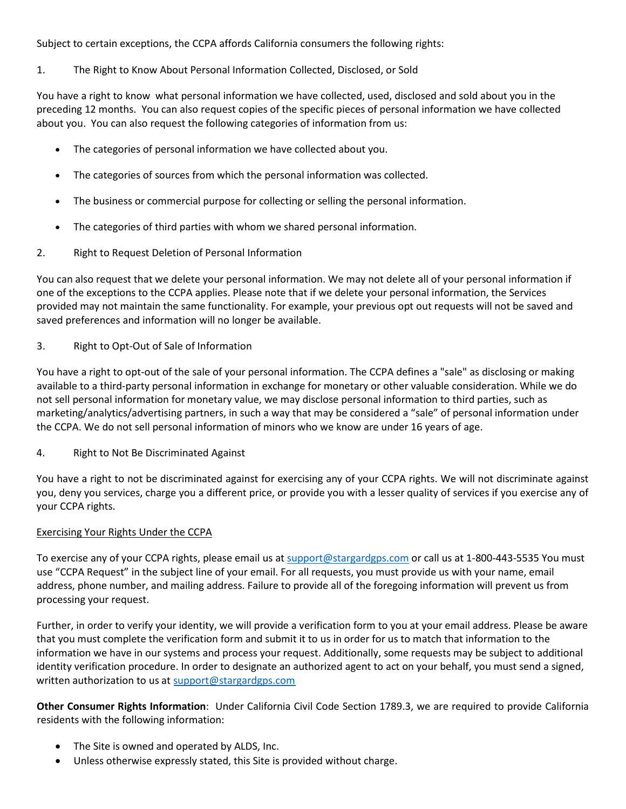Subject to certain exceptions, the CCPA affords California consumers the following rights:

1. The Right to Know About Personal Information Collected, Disclosed, or Sold

You have a right to know what personal information we have collected, used, disclosed and sold about you in the preceding 12 months. You can also request copies of the specific pieces of personal information we have collected about you. You can also request the following categories of information from us:

- The categories of personal information we have collected about you.
- The categories of sources from which the personal information was collected.
- The business or commercial purpose for collecting or selling the personal information.
- The categories of third parties with whom we shared personal information.
- 2. Right to Request Deletion of Personal Information

You can also request that we delete your personal information. We may not delete all of your personal information if one of the exceptions to the CCPA applies. Please note that if we delete your personal information, the Services provided may not maintain the same functionality. For example, your previous opt out requests will not be saved and saved preferences and information will no longer be available.

## 3. Right to Opt-Out of Sale of Information

You have a right to opt-out of the sale of your personal information. The CCPA defines a "sale" as disclosing or making available to a third-party personal information in exchange for monetary or other valuable consideration. While we do not sell personal information for monetary value, we may disclose personal information to third parties, such as marketing/analytics/advertising partners, in such a way that may be considered a "sale" of personal information under the CCPA. We do not sell personal information of minors who we know are under 16 years of age.

4. Right to Not Be Discriminated Against

You have a right to not be discriminated against for exercising any of your CCPA rights. We will not discriminate against you, deny you services, charge you a different price, or provide you with a lesser quality of services if you exercise any of your CCPA rights.

#### Exercising Your Rights Under the CCPA

To exercise any of your CCPA rights, please email us at [support@stargardgps.com](mailto:support@stargardgps.com) or call us at 1-800-443-5535 You must use "CCPA Request" in the subject line of your email. For all requests, you must provide us with your name, email address, phone number, and mailing address. Failure to provide all of the foregoing information will prevent us from processing your request.

Further, in order to verify your identity, we will provide a verification form to you at your email address. Please be aware that you must complete the verification form and submit it to us in order for us to match that information to the information we have in our systems and process your request. Additionally, some requests may be subject to additional identity verification procedure. In order to designate an authorized agent to act on your behalf, you must send a signed, written authorization to us at [support@stargardgps.com](mailto:support@stargardgps.com)

**Other Consumer Rights Information**: Under California Civil Code Section 1789.3, we are required to provide California residents with the following information:

- The Site is owned and operated by ALDS, Inc.
- Unless otherwise expressly stated, this Site is provided without charge.